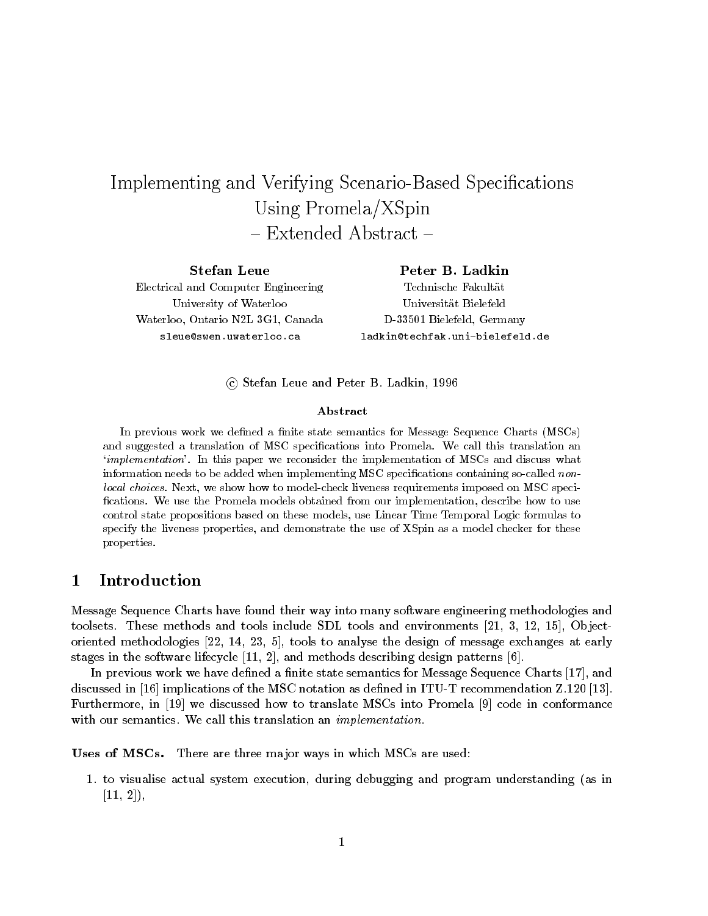# Implementing and Verifying Scenario-Based Specications Using Promela/XSpin - Extended Abstract -

Stefan Leue Electrical and Computer EngineeringUniversity of WaterlooWaterloo, Ontario N2L 3G1, Canadasleue@swen.uwaterloo.ca

Peter B. Ladkin Technische FakultatUniversitat BielefeldD-33501 Bielefeld, Germanyladkin@techfak.uni-bielefeld.de

c Stefan Leue and Peter B. Ladkin, 1996

### Abstract

In previous work we defined a finite state semantics for Message Sequence Charts (MSCs) and suggested a translation of MSC specications into Promela. We call this translation an`implementation'. In this paper we reconsider the implementation of MSCs and discuss what  $\min$ ormation needs to be added when implementing MSC specifications containing so-called nonlocal choices. Next, we show how to model-check liveness requirements imposed on MSC specications. We use the Promela models obtained from our implementation, describe how to usecontrol state propositions based on these models, use Linear Time Temporal Logic formulas tospecify the liveness properties, and demonstrate the use of XSpin as a model checker for theseproperties.

#### 1Introduction

Message Sequence Charts have found their way into many software engineering methodologies and toolsets. These methods and tools include SDL tools and environments  $[21, 3, 12, 15]$ , Objectoriented methodologies [22, 14, 23, 5], tools to analyse the design of message exchanges at early stages in the software lifecycle [11, 2], and methods describing design patterns [6].

In previous work we have defined a finite state semantics for Message Sequence Charts [17], and discussed in [16] implications of the MSC notation as dened in ITU-T recommendation Z.120 [13]. Furthermore, in [19] we discussed how to translate MSCs into Promela [9] code in conformance with our semantics. We call this translation an *implementation*.

Uses of MSCs. There are three ma jor ways in which MSCs are used:

1. to visualise actual system execution, during debugging and program understanding (as in  $[11, 2]$ ,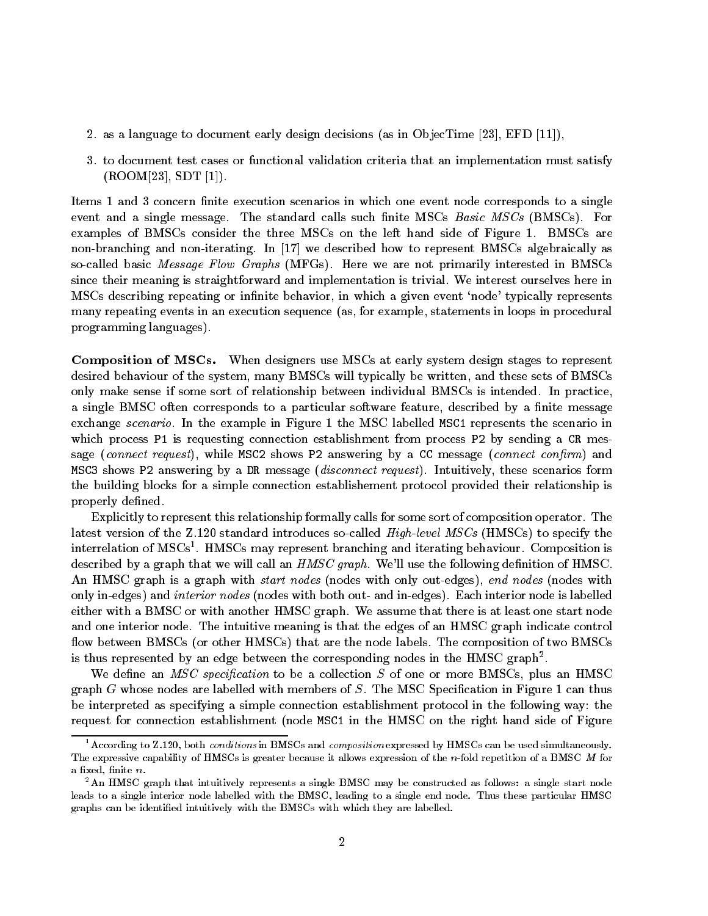- 2. as a language to document early design decisions (as in ObjecTime [23], EFD [11]),
- 3. to document test cases or functional validation criteria that an implementation must satisfy  $($ ROOM[23], SDT [1]).

Items 1 and 3 concern finite execution scenarios in which one event node corresponds to a single event and a single message. The standard calls such finite MSCs  $Basic\;MSCs$  (BMSCs). For examples of BMSCs consider the three MSCs on the left hand side of Figure 1. BMSCs are non-branching and non-iterating. In [17] we described how to represent BMSCs algebraically as so-called basic *Message Flow Graphs* (MFGs). Here we are not primarily interested in BMSCs since their meaning is straightforward and implementation is trivial. We interest ourselves here in MSCs describing repeating or infinite behavior, in which a given event 'node' typically represents many repeating events in an execution sequence (as, for example, statements in loops in procedural programming languages).

Composition of MSCs. When designers use MSCs at early system design stages to represent desired behaviour of the system, many BMSCs will typically be written, and these sets of BMSCs only make sense if some sort of relationship between individual BMSCs is intended. In practice, a single BMSC often corresponds to a particular software feature, described by a finite message exchange *scenario*. In the example in Figure 1 the MSC labelled MSC1 represents the scenario in which process P1 is requesting connection establishment from process P2 by sending a CR message (connect request), while MSC2 shows P2 answering by a CC message (connect confirm) and MSC3 shows P2 answering by a DR message (disconnect request). Intuitively, these scenarios form the building blocks for a simple connection establishement protocol provided their relationship is properly defined.

Explicitly to represent this relationship formally calls for some sort of composition operator. The latest version of the Z.120 standard introduces so-called *High-level MSCs* (HMSCs) to specify the interrelation of MSCs<sup>-</sup>. HMSCs may represent branching and iterating behaviour. Composition is described by a graph that we will call an  $HMSC\,graph$ . We'll use the following definition of HMSC. An HMSC graph is a graph with *start nodes* (nodes with only out-edges), end nodes (nodes with only in-edges) and interior nodes (nodes with both out- and in-edges). Each interior node is labelled either with a BMSC or with another HMSC graph. We assume that there is at least one start node and one interior node. The intuitive meaning is that the edges of an HMSC graph indicate control flow between BMSCs (or other HMSCs) that are the node labels. The composition of two BMSCs is thus represented by an edge between the corresponding nodes in the HMSC graph  $\,$  .

We define an *MSC specification* to be a collection  $S$  of one or more BMSCs, plus an HMSC graph  $G$  whose nodes are labelled with members of  $S$ . The MSC Specification in Figure 1 can thus be interpreted as specifying a simple connection establishment protocol in the following way: the request for connection establishment (node MSC1 in the HMSC on the right hand side of Figure

 $^1$  According to Z.120, both *conditions* in BMSCs and *composition* expressed by HMSCs can be used simultaneously. The expressive capability of HMSCs is greater because it allows expression of the n-fold repetition of a BMSC <sup>M</sup> for a fixed, finite n.

<sup>&</sup>lt;sup>2</sup>An HMSC graph that intuitively represents a single BMSC may be constructed as follows: a single start node leads to a single interior node labelled with the BMSC, leading to a single end node. Thus these particular HMSC graphs can be identied intuitively with the BMSCs with which they are labelled.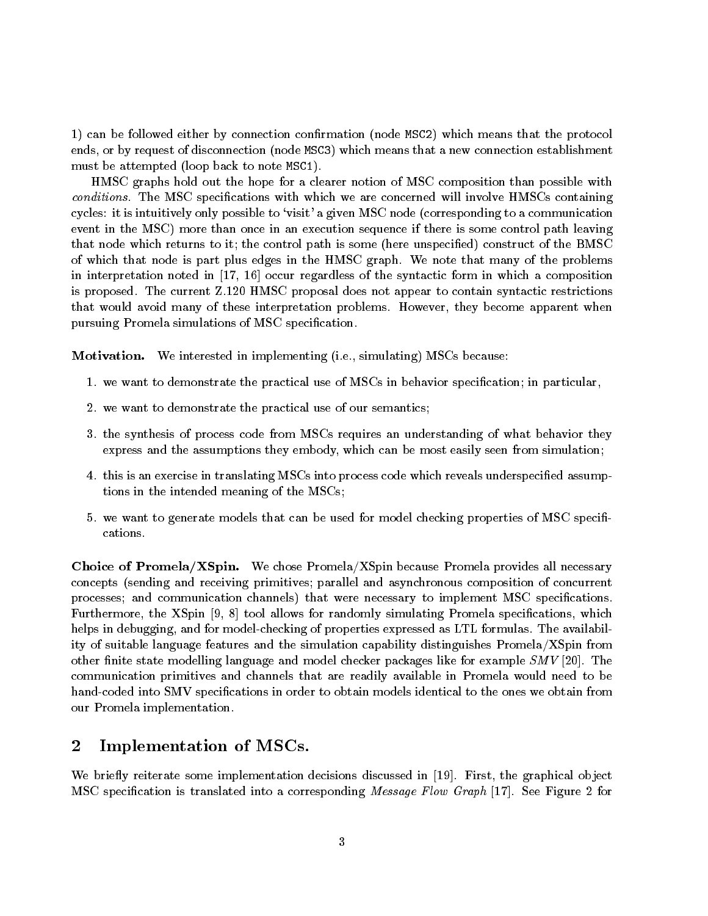1) can be followed either by connection conrmation (node MSC2) which means that the protocol ends, or by request of disconnection (node MSC3) which means that a new connection establishment must be attempted (loop back to note MSC1).

HMSC graphs hold out the hope for a clearer notion of MSC composition than possible with conditions. The MSC specifications with which we are concerned will involve HMSCs containing cycles: it is intuitively only possible to `visit' a given MSC node (corresponding to a communication event in the MSC) more than once in an execution sequence if there is some control path leaving that node which returns to it; the control path is some (here unspecified) construct of the BMSC of which that node is part plus edges in the HMSC graph. We note that many of the problems in interpretation noted in [17, 16] occur regardless of the syntactic form in which a composition is proposed. The current Z.120 HMSC proposal does not appear to contain syntactic restrictions that would avoid many of these interpretation problems. However, they become apparent when pursuing Promela simulations of MSC specification.

**Motivation.** We interested in implementing (i.e., simulating) MSCs because:

- 1. we want to demonstrate the practical use of MSCs in behavior specication; in particular,
- 2. we want to demonstrate the practical use of our semantics;
- 3. the synthesis of process code from MSCs requires an understanding of what behavior they express and the assumptions they embody, which can be most easily seen from simulation;
- 4. this is an exercise in translating MSCs into process code which reveals underspecied assumptions in the intended meaning of the MSCs;
- 5. we want to generate models that can be used for model checking properties of MSC specifications.

Choice of Promela/XSpin. We chose Promela/XSpin because Promela provides all necessary concepts (sending and receiving primitives; parallel and asynchronous composition of concurrent processes; and communication channels) that were necessary to implement MSC specifications. Furthermore, the XSpin  $[9, 8]$  tool allows for randomly simulating Promela specifications, which helps in debugging, and for model-checking of properties expressed as LTL formulas. The availability of suitable language features and the simulation capability distinguishes Promela/XSpin from other finite state modelling language and model checker packages like for example  $SMV$  [20]. The communication primitives and channels that are readily available in Promela would need to be hand-coded into SMV specifications in order to obtain models identical to the ones we obtain from our Promela implementation.

#### 2Implementation of MSCs.

We briefly reiterate some implementation decisions discussed in [19]. First, the graphical object MSC specication is translated into a corresponding Message Flow Graph [17]. See Figure 2 for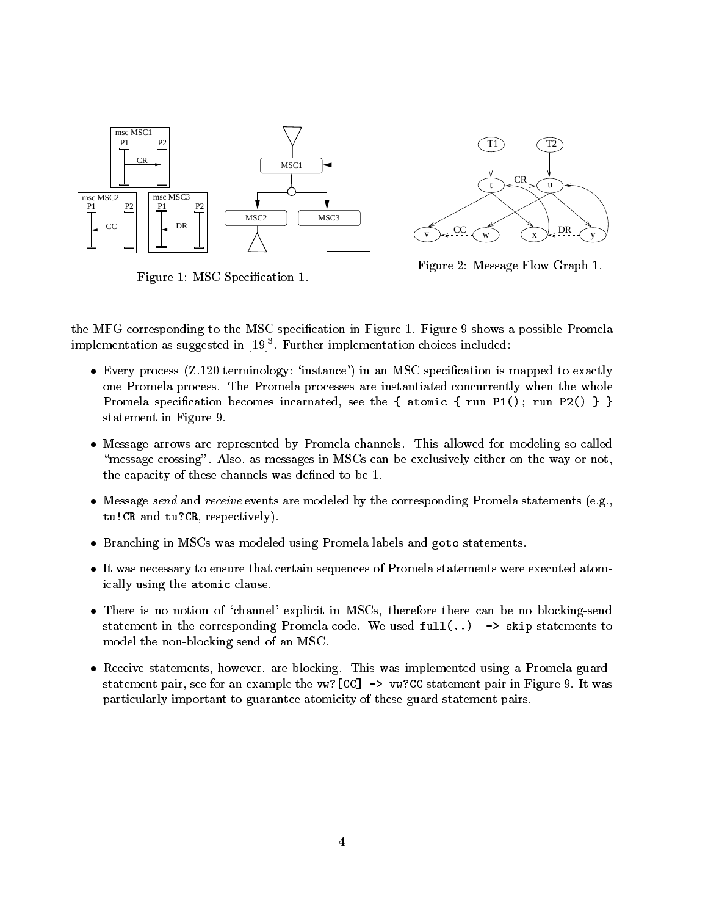

Figure 1: MSC Specification 1.



Figure 2: Message Flow Graph 1.

the MFG corresponding to the MSC specication in Figure 1. Figure 9 shows a possible Promela  $\rm{implementation}$  as suggested in  $\rm{[19]}$  . Further implementation choices included:

- Every process  $(Z.120 \text{ terminology: 'instance'})$  in an MSC specification is mapped to exactly one Promela process. The Promela processes are instantiated concurrently when the whole Promela specification becomes incarnated, see the { atomic { run P1(); run P2() } } statement in Figure 9.
- $\bullet$  -Message arrows are represented by Promela channels. This allowed for modeling so-called "message crossing". Also, as messages in MSCs can be exclusively either on-the-way or not, the capacity of these channels was defined to be 1.
- $\bullet$  -Message  $sena$  and  $receiver$ events are modeled by the corresponding Promela statements (e.g.,  $\blacksquare$ tu!CR and tu?CR, respectively).
- $\bullet$  -Branching in MSCs was modeled using Promela labels and goto statements.
- $\bullet$  It was necessary to ensure that certain sequences of Promela statements were executed atomically using the atomic clause.
- There is no notion of `channel' explicit in MSCs, therefore there can be no blocking-send statement in the corresponding Promela code. We used  $full(...)$   $\rightarrow$  skip statements to model the non-blocking send of an MSC.
- $\bullet$  -Keceive statements, however, are blocking. This was implemented using a Promela guardstatement pair, see for an example the vw?[CC] -> vw?CC statement pair in Figure 9. It was particularly important to guarantee atomicity of these guard-statement pairs.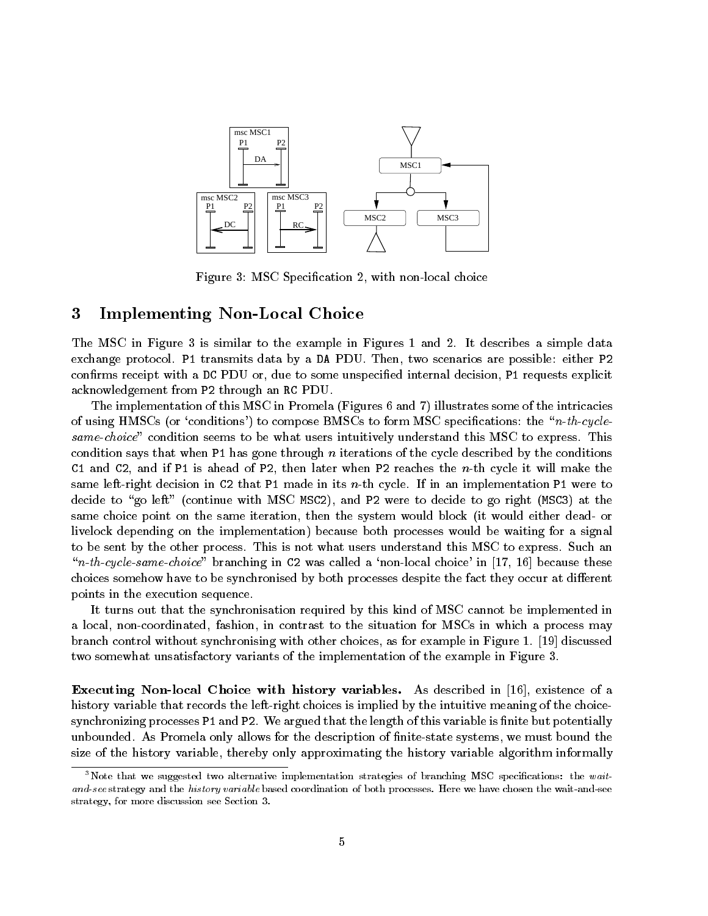

Figure 3: MSC Specification 2, with non-local choice

#### 3Implementing Non-Local Choice

The MSC in Figure 3 is similar to the example in Figures 1 and 2. It describes a simple data exchange protocol. P1 transmits data by a DA PDU. Then, two scenarios are possible: either P2 confirms receipt with a DC PDU or, due to some unspecified internal decision, P1 requests explicit acknowledgement from P2 through an RC PDU.

The implementation of this MSC in Promela (Figures 6 and 7) illustrates some of the intricacies of using HMSCs (or 'conditions') to compose BMSCs to form MSC specifications: the "n-th-cyclesame-choice" condition seems to be what users intuitively understand this MSC to express. This condition says that when P1 has gone through  $n$  iterations of the cycle described by the conditions C1 and C2, and if P1 is ahead of P2, then later when P2 reaches the  $n$ -th cycle it will make the same left-right decision in C2 that P1 made in its n-th cycle. If in an implementation P1 were to decide to "go left" (continue with MSC MSC2), and P2 were to decide to go right (MSC3) at the same choice point on the same iteration, then the system would block (it would either dead- or livelock depending on the implementation) because both processes would be waiting for a signal to be sent by the other process. This is not what users understand this MSC to express. Such an "n-th-cycle-same-choice" branching in C2 was called a 'non-local choice' in [17, 16] because these choices somehow have to be synchronised by both processes despite the fact they occur at different points in the execution sequence.

It turns out that the synchronisation required by this kind of MSC cannot be implemented in a local, non-coordinated, fashion, in contrast to the situation for MSCs in which a process may branch control without synchronising with other choices, as for example in Figure 1. [19] discussed two somewhat unsatisfactory variants of the implementation of the example in Figure 3.

Executing Non-local Choice with history variables. As described in [16], existence of a history variable that records the left-right choices is implied by the intuitive meaning of the choicesynchronizing processes P1 and P2. We argued that the length of this variable is finite but potentially unbounded. As Promela only allows for the description of nite-state systems, we must bound the size of the history variable, thereby only approximating the history variable algorithm informally

<sup>&</sup>lt;sup>3</sup>Note that we suggested two alternative implementation strategies of branching MSC specifications: the waitand-see strategy and the history variable based coordination of both processes. Here we have chosen the wait-and-see strategy, for more discussion see Section 3.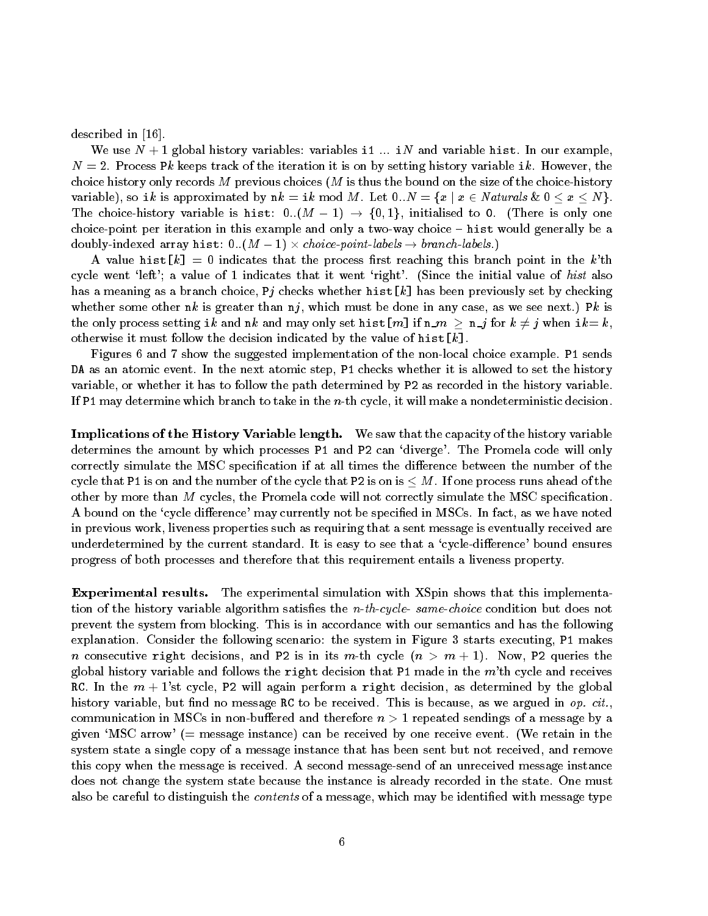described in [16].

We use  $N+1$  global history variables: variables i1 ... iN and variable hist. In our example,  $N=2$ . Process Pk keeps track of the iteration it is on by setting history variable ik. However, the choice history only records M previous choices  $(M$  is thus the bound on the size of the choice-history variable), so ik is approximated by  $nk = ik \mod M$ . Let  $0..N = \{x \mid x \in N$  aturals  $k \in \{0 \le x \le N\}$ . The choice-history variable is hist:  $0.(M - 1) \rightarrow \{0,1\}$ , initialised to 0. (There is only one choice-point per iteration in this example and only a two-way choice  $-$  hist would generally be a doubly-indexed array hist:  $0..(M-1)\times choice\text{-}points$  .)  $\rightarrow\text{-}branch\text{-}labels$  .)

A value hist  $[k] = 0$  indicates that the process first reaching this branch point in the k'th cycle went 'left'; a value of 1 indicates that it went 'right'. (Since the initial value of hist also has a meaning as a branch choice, Pj checks whether hist[k] has been previously set by checking whether some other nk is greater than  $n_j$ , which must be done in any case, as we see next.) Pk is the only process setting ik and nk and may only set hist[m] if  $n \_m \ge n \_j$  for  $k \ne j$  when ik= k, otherwise it must follow the decision indicated by the value of hist  $[k]$ .

Figures 6 and 7 show the suggested implementation of the non-local choice example. P1 sends DA as an atomic event. In the next atomic step, P1 checks whether it is allowed to set the history variable, or whether it has to follow the path determined by P2 as recorded in the history variable. If P1 may determine which branch to take in the  $n$ -th cycle, it will make a nondeterministic decision.

Implications of the History Variable length. We saw that the capacity of the history variable determines the amount by which processes P1 and P2 can 'diverge'. The Promela code will only correctly simulate the MSC specification if at all times the difference between the number of the cycle that P1 is on and the number of the cycle that P2 is on is  $\leq M$ . If one process runs ahead of the other by more than <sup>M</sup> cycles, the Promela code will not correctly simulate the MSC specication. A bound on the 'cycle difference' may currently not be specified in MSCs. In fact, as we have noted in previous work, liveness properties such as requiring that a sent message is eventually received are underdetermined by the current standard. It is easy to see that a 'cycle-difference' bound ensures progress of both processes and therefore that this requirement entails a liveness property.

Experimental results. The experimental simulation with XSpin shows that this implementation of the history variable algorithm satisfies the  $n-th-cycle$ - same-choice condition but does not prevent the system from blocking. This is in accordance with our semantics and has the following explanation. Consider the following scenario: the system in Figure 3 starts executing, P1 makes *n* consecutive right decisions, and P2 is in its m-th cycle  $(n > m + 1)$ . Now, P2 queries the global history variable and follows the right decision that P1 made in the  $m't$ h cycle and receives RC. In the  $m + 1$ 'st cycle, P2 will again perform a right decision, as determined by the global history variable, but find no message RC to be received. This is because, as we argued in  $op. cit.$ communication in MSCs in non-buffered and therefore  $n > 1$  repeated sendings of a message by a given 'MSC arrow' ( $=$  message instance) can be received by one receive event. (We retain in the system state a single copy of a message instance that has been sent but not received, and remove this copy when the message is received. A second message-send of an unreceived message instance does not change the system state because the instance is already recorded in the state. One must also be careful to distinguish the *contents* of a message, which may be identified with message type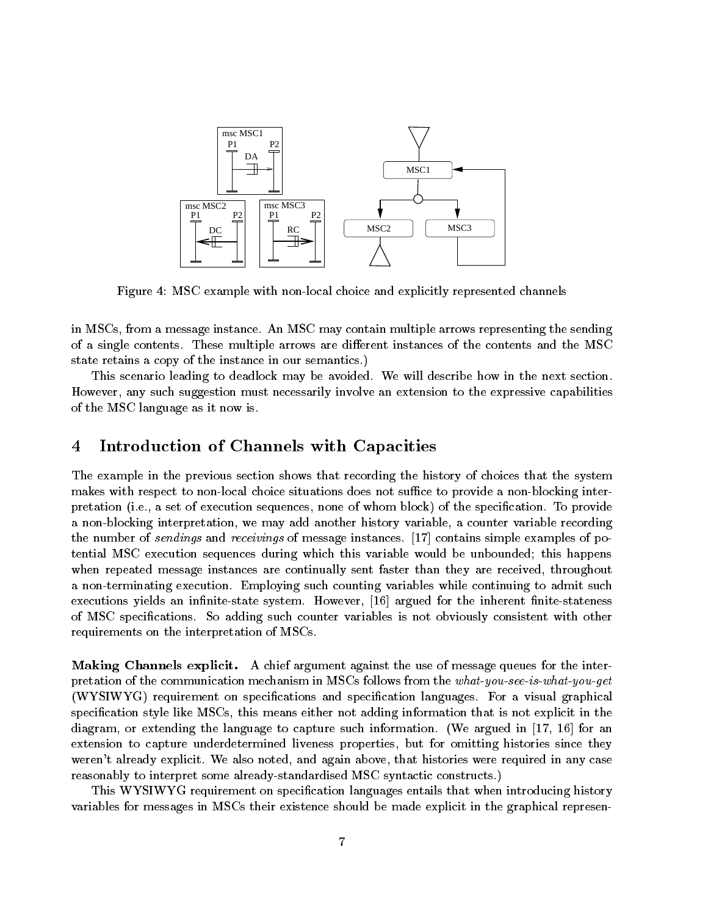

Figure 4: MSC example with non-local choice and explicitly represented channels

in MSCs, from a message instance. An MSC may contain multiple arrows representing the sending of a single contents. These multiple arrows are different instances of the contents and the MSC state retains a copy of the instance in our semantics.)

This scenario leading to deadlock may be avoided. We will describe how in the next section. However, any such suggestion must necessarily involve an extension to the expressive capabilities of the MSC language as it now is.

#### 4Introduction of Channels with Capacities

The example in the previous section shows that recording the history of choices that the system makes with respect to non-local choice situations does not suffice to provide a non-blocking interpretation (i.e., a set of execution sequences, none of whom block) of the specification. To provide a non-blocking interpretation, we may add another history variable, a counter variable recording the number of sendings and receivings of message instances. [17] contains simple examples of potential MSC execution sequences during which this variable would be unbounded; this happens when repeated message instances are continually sent faster than they are received, throughout a non-terminating execution. Employing such counting variables while continuing to admit such executions yields an infinite-state system. However, [16] argued for the inherent finite-stateness of MSC specications. So adding such counter variables is not obviously consistent with other requirements on the interpretation of MSCs.

Making Channels explicit. A chief argument against the use of message queues for the interpretation of the communication mechanism in MSCs follows from the what-you-see-is-what-you-get (WYSIWYG) requirement on specications and specication languages. For a visual graphical specification style like MSCs, this means either not adding information that is not explicit in the diagram, or extending the language to capture such information. (We argued in [17, 16] for an extension to capture underdetermined liveness properties, but for omitting histories since they weren't already explicit. We also noted, and again above, that histories were required in any case reasonably to interpret some already-standardised MSC syntactic constructs.)

This WYSIWYG requirement on specication languages entails that when introducing history variables for messages in MSCs their existence should be made explicit in the graphical represen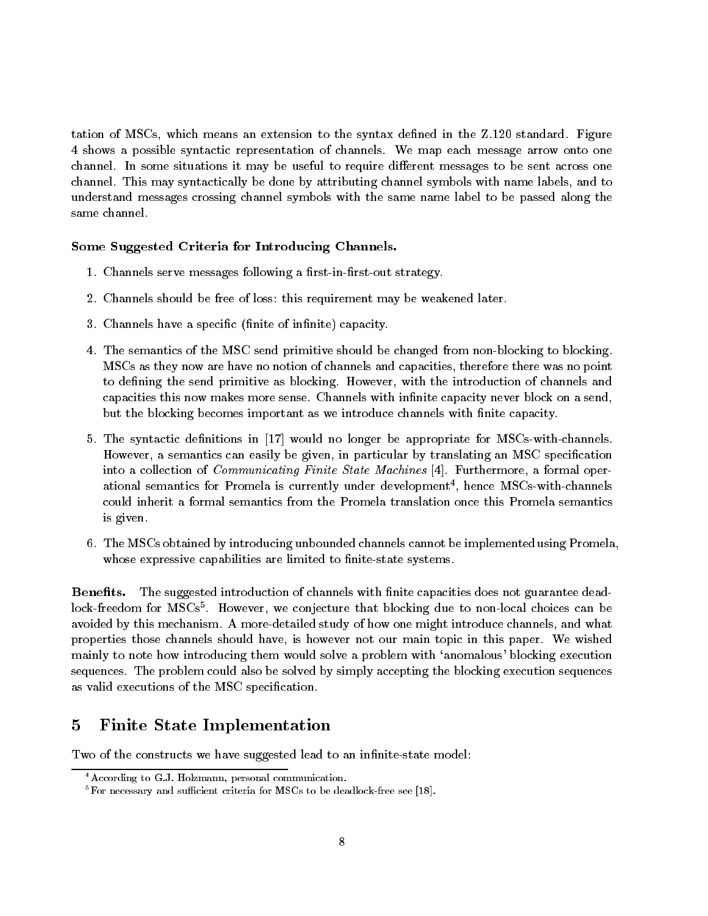tation of MSCs, which means an extension to the syntax defined in the Z.120 standard. Figure 4 shows a possible syntactic representation of channels. We map each message arrow onto one channel. In some situations it may be useful to require different messages to be sent across one channel. This may syntactically be done by attributing channel symbols with name labels, and to understand messages crossing channel symbols with the same name label to be passed along the same channel.

## Some Suggested Criteria for Introducing Channels.

- 1. Channels serve messages following a first-in-first-out strategy.
- 2. Channels should be free of loss: this requirement may be weakened later.
- 3. Channels have a specific (finite of infinite) capacity.
- 4. The semantics of the MSC send primitive should be changed from non-blocking to blocking. MSCs as they now are have no notion of channels and capacities, therefore there was no point to defining the send primitive as blocking. However, with the introduction of channels and capacities this now makes more sense. Channels with infinite capacity never block on a send, but the blocking becomes important as we introduce channels with finite capacity.
- 5. The syntactic denitions in [17] would no longer be appropriate for MSCs-with-channels. However, a semantics can easily be given, in particular by translating an MSC specification into a collection of *Communicating Finite State Machines* [4]. Furthermore, a formal operational semantics for Promela is currently under development), nence  $\overline{\text{m}}$ s-with-channels  $\overline{\text{m}}$ could inherit a formal semantics from the Promela translation once this Promela semantics is given.
- 6. The MSCs obtained by introducing unbounded channels cannot be implemented using Promela, whose expressive capabilities are limited to finite-state systems

Benefits. The suggested introduction of channels with finite capacities does not guarantee deadlock-freedom for MSCs . However, we conjecture that blocking due to non-local choices can be  $$ avoided by this mechanism. A more-detailed study of how one might introduce channels, and what properties those channels should have, is however not our main topic in this paper. We wished mainly to note how introducing them would solve a problem with 'anomalous' blocking execution sequences. The problem could also be solved by simply accepting the blocking execution sequences as valid executions of the MSC specification.

#### 5Finite State Implementation

Two of the constructs we have suggested lead to an infinite-state model:

<sup>4</sup>According to G.J. Holzmann, personal communication.

 $5$ For necessary and sufficient criteria for MSCs to be deadlock-free see [18].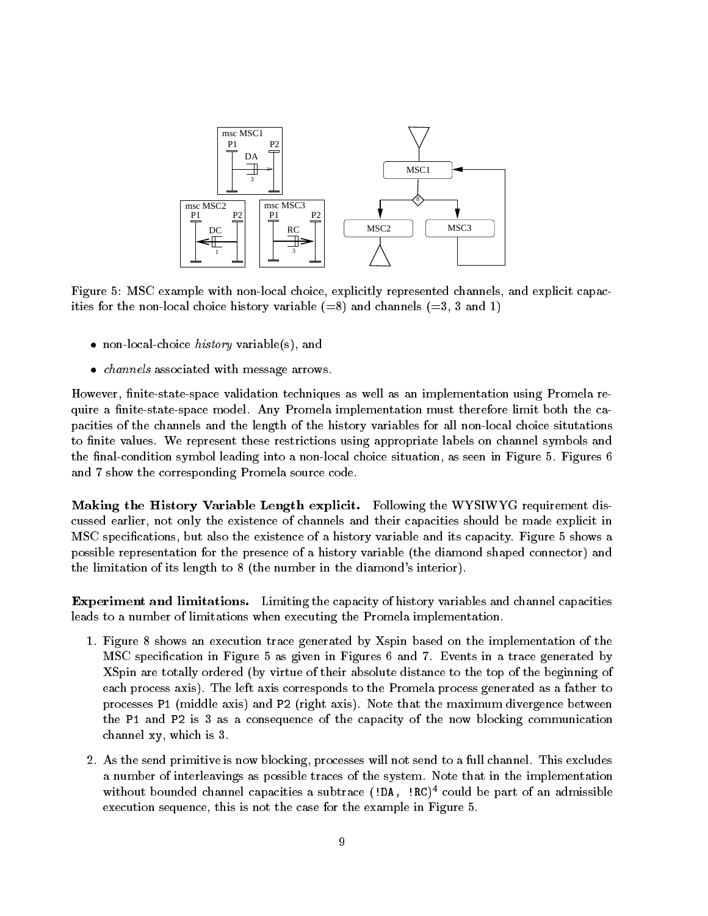

Figure 5: MSC example with non-local choice, explicitly represented channels, and explicit capacities for the non-local choice history variable  $(=8)$  and channels  $(=3, 3 \text{ and } 1)$ 

- $\bullet$  non-local-choice  $nisory$  variable(s), and
- $\bullet$  channels associated with message arrows.

However, finite-state-space validation techniques as well as an implementation using Promela require a finite-state-space model. Any Promela implementation must therefore limit both the capacities of the channels and the length of the history variables for all non-local choice situtations to finite values. We represent these restrictions using appropriate labels on channel symbols and the final-condition symbol leading into a non-local choice situation, as seen in Figure 5. Figures 6 and 7 show the corresponding Promela source code.

Making the History Variable Length explicit. Following the WYSIWYG requirement discussed earlier, not only the existence of channels and their capacities should be made explicit in MSC specications, but also the existence of a history variable and its capacity. Figure 5 shows a possible representation for the presence of a history variable (the diamond shaped connector) and the limitation of its length to 8 (the number in the diamond's interior).

Experiment and limitations. Limiting the capacity of history variables and channel capacities leads to a number of limitations when executing the Promela implementation.

- 1. Figure 8 shows an execution trace generated by Xspin based on the implementation of the MSC specication in Figure 5 as given in Figures 6 and 7. Events in a trace generated by XSpin are totally ordered (by virtue of their absolute distance to the top of the beginning of each process axis). The left axis corresponds to the Promela process generated as a father to processes P1 (middle axis) and P2 (right axis). Note that the maximum divergence between the P1 and P2 is 3 as a consequence of the capacity of the now blocking communication channel xy, which is 3.
- 2. As the send primitive is now blocking, processes will not send to a full channel. This excludes a number of interleavings as possible traces of the system. Note that in the implementation without bounded channel capacities a subtrace (!DA, !RC) <sup>4</sup> could be part of an admissible execution sequence, this is not the case for the example in Figure 5.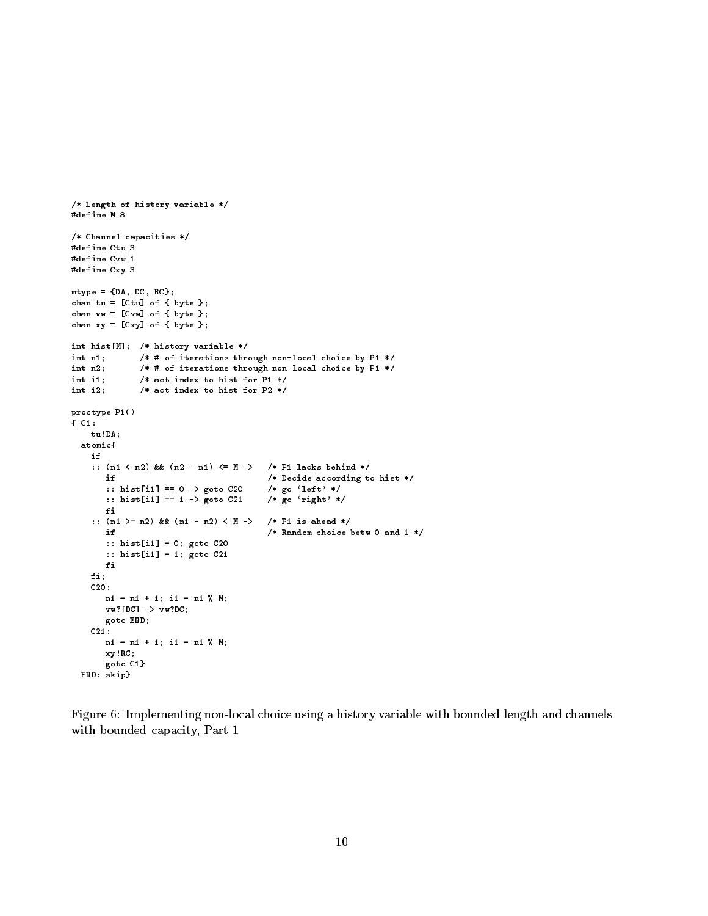```
/* Length of history variable */
#define M 8
/* Channel capacities */
#define Ctu 3
#define Cvw 1
#define Cxy 3
mtype = {DA, DC, RC};
chan tu = [Ctu] of { byte };
chan vv = [Cvw] of \{ byte \};chan xy = [Cxy] of { byte };
int hist[M]; /* history variable */
int n1; /* # of iterations through non-local choice by P1 */
int n2; /* # of iterations through non-local choice by P1 */
int i1; /* act index to hist for P1 */
int i2; /* act index to hist for P2 */
proctype P1()
{ C1:
   tu!DA;
 atomic{
   if
   :: (n1 < n2) && (n2 - n1) <= M -> /* P1 lacks behind */
                                      /* Decide according to hist */<br>/* go 'left' */
      if
       :: hist[i1] == 0 -> goto C20 /* go `left' */
       :: hist[i1] == 1 -> goto C21 /* go 'right' */
      fi
   :: (n1 >= n2) && (n1 - n2) < M -> /* P1 is ahead */
      if /* Random choice betw 0 and 1 */
      :: hist[i1] = 0; goto C20
      :: hist[i1] = 1; goto C21
      fi
   fi;
   C20:
      n1 = n1 + 1; i1 = n1 % M;
      vw?[DC] -> vw?DC;
      goto END;
   C21:
      n1 = n1 + 1; i1 = n1 % M;
      xy!RC;
      goto C1}
 END: skip}
```
Figure 6: Implementing non-local choice using a history variable with bounded length and channels with bounded capacity, Part 1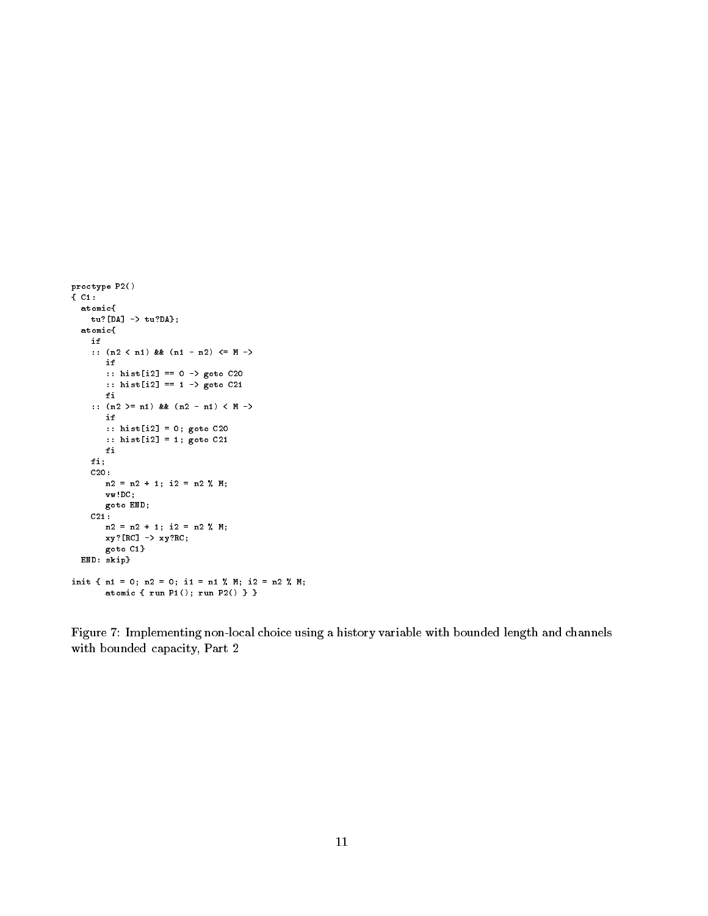```
proctype P2()
{ C1:
  atomic{
   tu?[DA] \rightarrow tu?DA;
  atomic{
    if
   :: (n2 \leq n1) & & (n1 - n2) \leq M \rightarrowif
       :: hist[i2] == 0 -> goto C20
       :: hist[i2] == 1 -> goto C21
       fi
    :: (n2 >= n1) && (n2 - n1) < M ->
       if
       :: hist[i2] = 0; goto C20
       :: hist[i2] = 1; goto C21
       fi
    fi;
    C20:
      n2 = n2 + 1; i2 = n2 % M;
       vw!DC;
       goto END;
    C21:
      n2 = n2 + 1; i2 = n2 % M;
      xy?[RC] -> xy?RC;
       goto C1}
  END: skip}
init { n1 = 0; n2 = 0; i1 = n1 % M; i2 = n2 % M;
       atomic { run P1(); run P2() } }
```
Figure 7: Implementing non-local choice using a history variable with bounded length and channels with bounded capacity, Part 2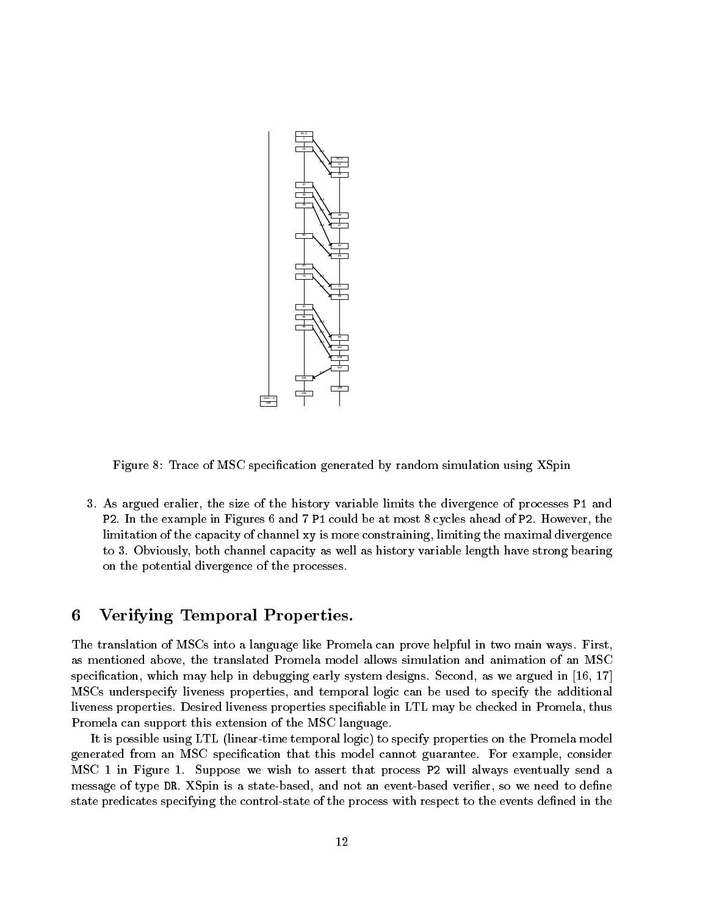

Figure 8: Trace of MSC specification generated by random simulation using XSpin

3. As argued eralier, the size of the history variable limits the divergence of processes P1 and P2. In the example in Figures 6 and 7 P1 could be at most 8 cycles ahead of P2. However, the limitation of the capacity of channel xy is more constraining, limiting the maximal divergence to 3. Obviously, both channel capacity as well as history variable length have strong bearing on the potential divergence of the processes.

#### 6Verifying Temporal Properties.

The translation of MSCs into a language like Promela can prove helpful in two main ways. First, as mentioned above, the translated Promela model allows simulation and animation of an MSC specification, which may help in debugging early system designs. Second, as we argued in  $[16, 17]$ MSCs underspecify liveness properties, and temporal logic can be used to specify the additional liveness properties. Desired liveness properties specifiable in LTL may be checked in Promela, thus Promela can support this extension of the MSC language.

It is possible using LTL (linear-time temporal logic) to specify properties on the Promela model generated from an MSC specication that this model cannot guarantee. For example, consider MSC 1 in Figure 1. Suppose we wish to assert that process P2 will always eventually send a message of type DR. XSpin is a state-based, and not an event-based verifier, so we need to define state predicates specifying the control-state of the process with respect to the events defined in the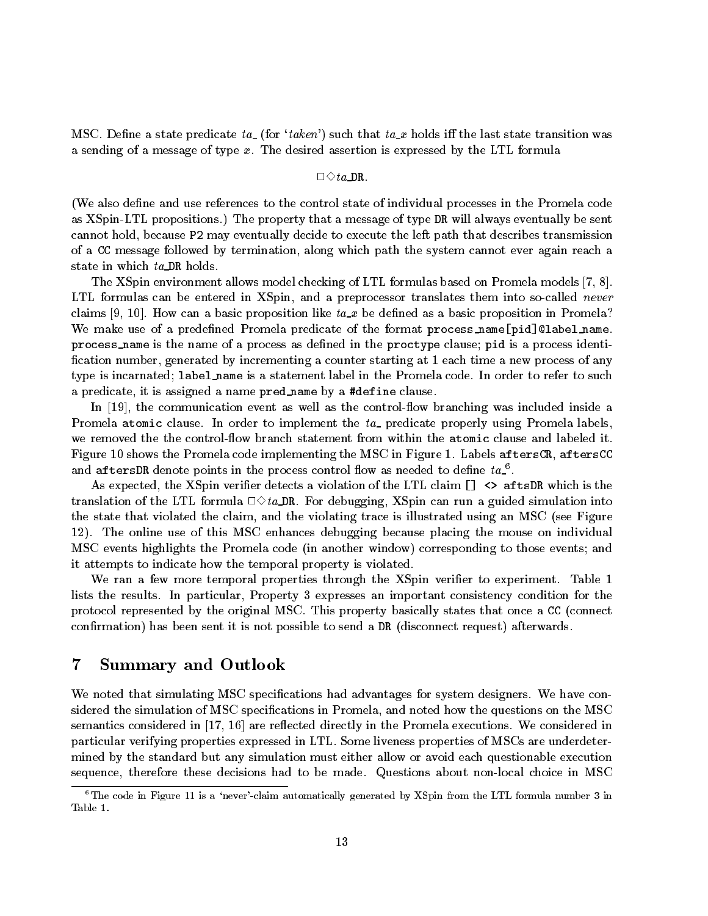MSC. Define a state predicate ta\_ (for 'taken') such that ta\_x holds iff the last state transition was a sending of a message of type x. The desired assertion is expressed by the LTL formula

## $\Box \Diamond ta\_DR$

(We also define and use references to the control state of individual processes in the Promela code as XSpin-LTL propositions.) The property that a message of type DR will always eventually be sent cannot hold, because P2 may eventually decide to execute the left path that describes transmission of a CC message followed by termination, along which path the system cannot ever again reach a state in which ta\_DR holds.

The XSpin environment allows model checking of LTL formulas based on Promela models [7, 8]. LTL formulas can be entered in XSpin, and a preprocessor translates them into so-called never claims [9, 10]. How can a basic proposition like  $ta_x$  be defined as a basic proposition in Promela? We make use of a predefined Promela predicate of the format process\_name[pid]@label\_name. process name is the name of a process as defined in the proctype clause; pid is a process identification number, generated by incrementing a counter starting at 1 each time a new process of any type is incarnated; label name is a statement label in the Promela code. In order to refer to such a predicate, it is assigned a name pred name by a #define clause.

In  $[19]$ , the communication event as well as the control-flow branching was included inside a Promela atomic clause. In order to implement the  $ta<sub>-</sub>$  predicate properly using Promela labels, we removed the the control-flow branch statement from within the atomic clause and labeled it. Figure 10 shows the Promela code implementing the MSC in Figure 1. Labels aftersCR, aftersCC and aftersby denote points in the process control now as needed to denne  $\iota a_-$  .

As expected, the XSpin verifier detects a violation of the LTL claim []  $\leftrightarrow$  aftsDR which is the translation of the LTL formula  $\Box \Diamond ta$  DR. For debugging, XSpin can run a guided simulation into the state that violated the claim, and the violating trace is illustrated using an MSC (see Figure 12). The online use of this MSC enhances debugging because placing the mouse on individual MSC events highlights the Promela code (in another window) corresponding to those events; and it attempts to indicate how the temporal property is violated.

We ran a few more temporal properties through the XSpin verifier to experiment. Table 1 lists the results. In particular, Property 3 expresses an important consistency condition for the protocol represented by the original MSC. This property basically states that once a CC (connect confirmation) has been sent it is not possible to send a DR (disconnect request) afterwards.

#### 7Summary and Outlook

We noted that simulating MSC specifications had advantages for system designers. We have considered the simulation of MSC specications in Promela, and noted how the questions on the MSC semantics considered in  $\left[17, 16\right]$  are reflected directly in the Promela executions. We considered in particular verifying properties expressed in LTL. Some liveness properties of MSCs are underdetermined by the standard but any simulation must either allow or avoid each questionable execution sequence, therefore these decisions had to be made. Questions about non-local choice in MSC

<sup>&</sup>lt;sup>6</sup>The code in Figure 11 is a 'never'-claim automatically generated by XSpin from the LTL formula number 3 in Table 1.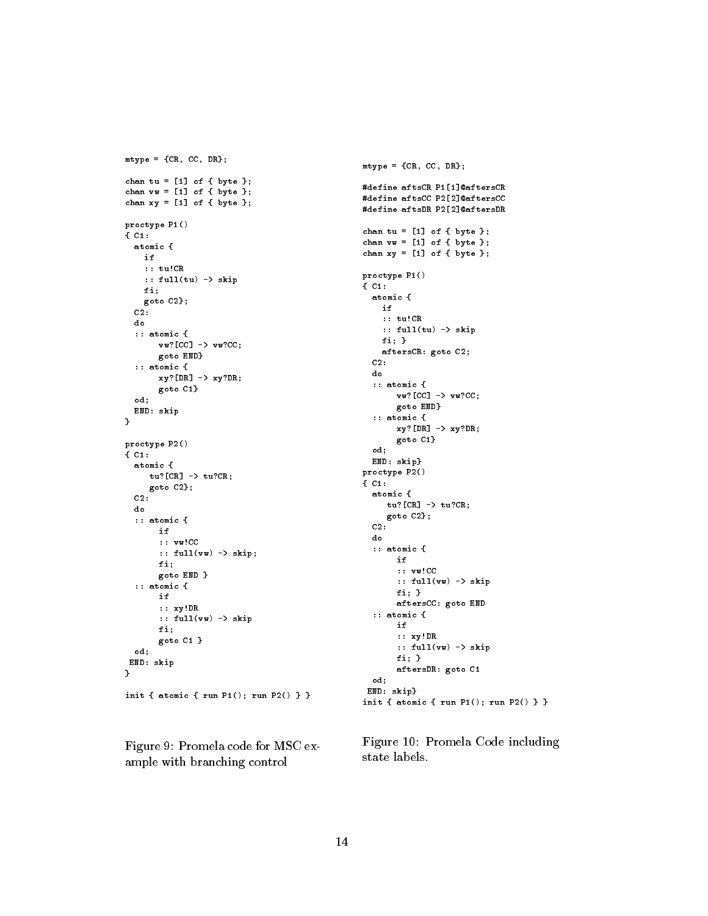```
mtype = {CR, CC, DR};
chan tu = [1] of { byte };
chan vv = [1] of { byte };
chan xy = [1] of { byte };
proctype P1()
{ C1:
  atomic {
    if
    :: tu!CR
    :: full(tu) -> skip
    fi;
   goto C2};
  c<sub>2</sub>:
  do
  :: atomic {
       v \cdot v \cdot [CC] \rightarrow v \cdot ?CC;
       goto END}
  :: atomic {
       xy?[DR] \rightarrow xy?DR;goto C1}
  od;
  END: skip
}
proctype P2()
{ C1:
  atomic {
     tu?[CR] -> tu?CR;
     goto C2};
  C2:
  do
  :: atomic {
        if
       :: vw!CC
       :: full(vw) -> skip;
       fi;
       goto END }
  :: atomic {
       i +:: xy!DR
       :: full(vw) -> skip
       fi;
       goto C1 }
  od:od;
 END: skip
\overline{ }init { atomic { run P1(); run P2() } }
```
Figure 9: Promela code for MSC example with branching control

```
mtype = {CR, CC, DR};#define aftsCR P1[1]@aftersCR
#define aftsCC P2[2]@aftersCC
#define aftsDR P2[2]@aftersDR
chan tu = [1] of { byte };
chan vv = [1] of { byte };
chan xy = [1] of { byte };
proctype P1()
{ C1:
 atomic {
   if:: tu!CR
   :: full(tu) -> skip
   fi; }
   aftersCR: goto C2;
 C2:
 do
  :: atomic {
      vw?[CC] -> vw?CC;
       goto END}
  :: atomic {
      xy?[DR] -> xy?DR;
      goto C1}
  od;
 END: skip}
proctype P2()
{ C1:
  atomic {
    tu?[CR] \rightarrow tu?CR;goto C2};
 C2:
  do
  :: atomic {
      if
       :: vw!CC
       :: full(vw) -> skip
       fi; }
       aftersCC: goto END
  :: atomic {
       if
       :: xy!DR
       :: full(vw) -> skip
       fi; }
       aftersDR: goto C1
  od;
END: skip}
```
Figure 10: Promela Code including state labels.

init { atomic { run P1(); run P2() } }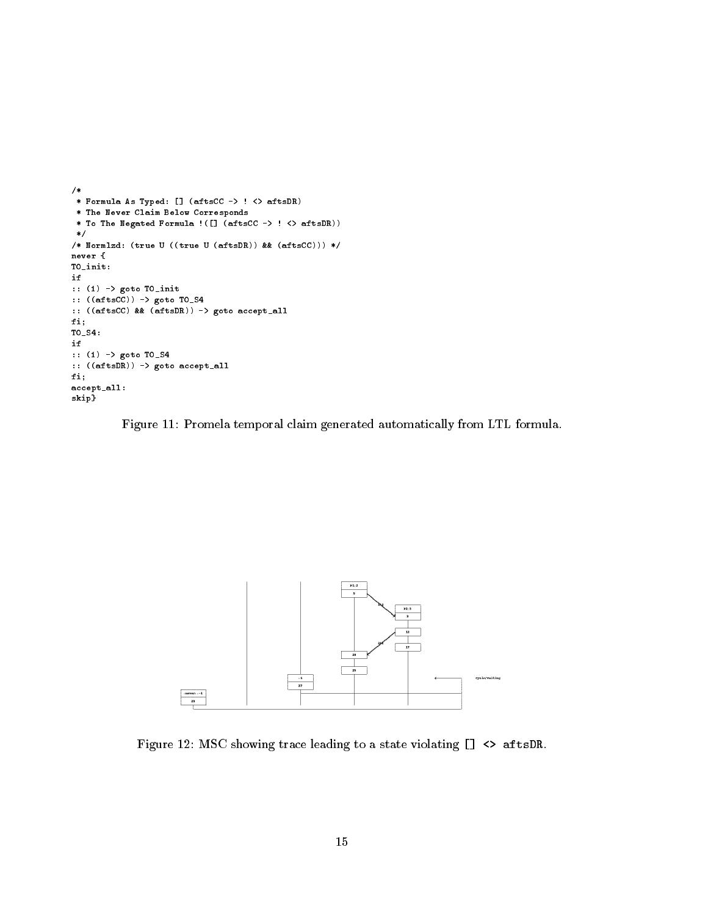```
/*
 * Formula As Typed: [] (aftsCC -> ! <> aftsDR)
 * The Never Claim Below Corresponds
 * To The Negated Formula !([] (aftsCC -> ! <> aftsDR))
 */
/* Normlzd: (true U ((true U (aftsDR)) && (aftsCC))) */
never {
T0_init:
if
:: (1) -> goto T0_init
:: ((aftsCC)) -> goto T0_S4
:: ((after \mathcal{L}) \mathcal{L} and (after acceptable) \mathcal{L}fi;
T0_S4:
if
:: (1) -> goto T0_S4
:: ((aftsDR)) -> goto accept_all
fi;
accept_all:
skip}
```
Figure 11: Promela temporal claim generated automatically from LTL formula.



Figure 12: MSC showing trace leading to a state violating [] <> aftsDR.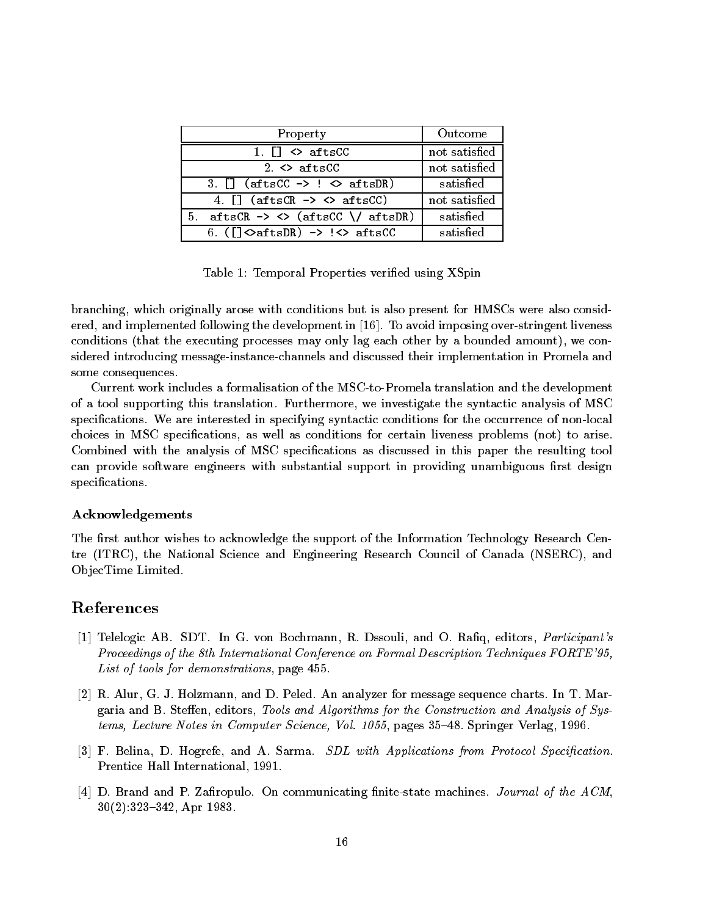| Property                                                                                                                                                                                                                                                                                                                                                                                                                                                                                   | Outcome       |
|--------------------------------------------------------------------------------------------------------------------------------------------------------------------------------------------------------------------------------------------------------------------------------------------------------------------------------------------------------------------------------------------------------------------------------------------------------------------------------------------|---------------|
| 1. $\Box \Leftrightarrow$ aftsCC                                                                                                                                                                                                                                                                                                                                                                                                                                                           | not satisfied |
| 2. $\leftrightarrow$ aftsCC                                                                                                                                                                                                                                                                                                                                                                                                                                                                | not satisfied |
| $3.$ [] (aftsCC $\rightarrow$ ! $\leftrightarrow$ aftsDR)                                                                                                                                                                                                                                                                                                                                                                                                                                  | satisfied     |
| 4. $\Box$ (aftsCR $\rightarrow$ <> aftsCC)                                                                                                                                                                                                                                                                                                                                                                                                                                                 | not satisfied |
| 5. aftsCR $\rightarrow$ $\leftrightarrow$ (aftsCC \/ aftsDR)                                                                                                                                                                                                                                                                                                                                                                                                                               | satisfied     |
| 6. $(\lceil\frac{\cdot}{\cdot}\rceil \cdot \text{C} \cdot \text{C} \cdot \text{C} \cdot \text{C} \cdot \text{C} \cdot \text{C} \cdot \text{C} \cdot \text{C} \cdot \text{C} \cdot \text{C} \cdot \text{C} \cdot \text{C} \cdot \text{C} \cdot \text{C} \cdot \text{C} \cdot \text{C} \cdot \text{C} \cdot \text{C} \cdot \text{C} \cdot \text{C} \cdot \text{C} \cdot \text{C} \cdot \text{C} \cdot \text{C} \cdot \text{C} \cdot \text{C} \cdot \text{C} \cdot \text{C} \cdot \text{C} \$ | satisfied     |

Table 1: Temporal Properties verified using XSpin

branching, which originally arose with conditions but is also present for HMSCs were also considered, and implemented following the development in [16]. To avoid imposing over-stringent liveness conditions (that the executing processes may only lag each other by a bounded amount), we considered introducing message-instance-channels and discussed their implementation in Promela and some consequences.

Current work includes a formalisation of the MSC-to-Promela translation and the development of a tool supporting this translation. Furthermore, we investigate the syntactic analysis of MSC specifications. We are interested in specifying syntactic conditions for the occurrence of non-local choices in MSC specications, as well as conditions for certain liveness problems (not) to arise. Combined with the analysis of MSC specifications as discussed in this paper the resulting tool can provide software engineers with substantial support in providing unambiguous first design specifications.

## Acknowledgements

The first author wishes to acknowledge the support of the Information Technology Research Centre (ITRC), the National Science and Engineering Research Council of Canada (NSERC), and Ob jecTime Limited.

# References

- [1] Telelogic AB. SDT. In G. von Bochmann, R. Dssouli, and O. Rafiq, editors, *Participant's* Proceedings of the 8th International Conference on Formal Description Techniques FORTE'95, List of tools for demonstrations, page 455.
- [2] R. Alur, G. J. Holzmann, and D. Peled. An analyzer for message sequence charts. In T. Margaria and B. Steffen, editors, Tools and Algorithms for the Construction and Analysis of Systems, Lecture Notes in Computer Science, Vol. 1055, pages 35-48. Springer Verlag, 1996.
- [3] F. Belina, D. Hogrefe, and A. Sarma. SDL with Applications from Protocol Specification. Prentice Hall International, 1991.
- [4] D. Brand and P. Zafiropulo. On communicating finite-state machines. Journal of the  $ACM$ , 30(2):323-342, Apr 1983.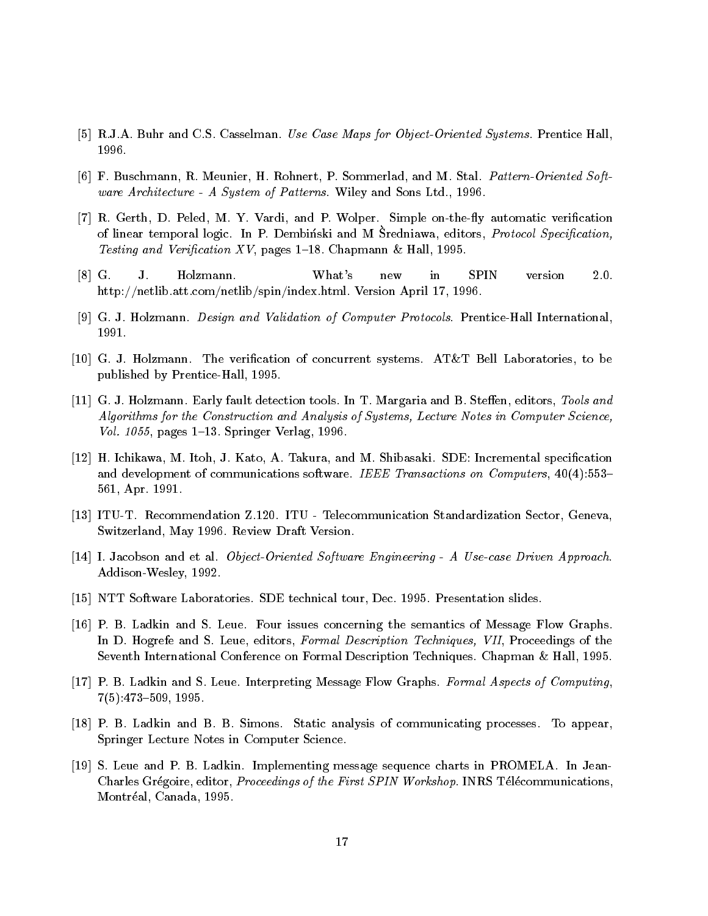- [5] R.J.A. Buhr and C.S. Casselman. Use Case Maps for Object-Oriented Systems. Prentice Hall, 1996.
- [6] F. Buschmann, R. Meunier, H. Rohnert, P. Sommerlad, and M. Stal. Pattern-Oriented Software Architecture - A System of Patterns. Wiley and Sons Ltd., 1996.
- [7] R. Gerth, D. Peled, M. Y. Vardi, and P. Wolper. Simple on-the-fly automatic verification of linear temporal logic. In T. Dembinski and M Sredniawa, editors, Protocol Specification, Testing and Verification XV, pages 1–18. Chapmann & Hall, 1995.
- [8] G. J. Holzmann. What's new in SPIN version 2.0. http://netlib.att.com/netlib/spin/index.html. Version April 17, 1996.
- [9] G. J. Holzmann. Design and Validation of Computer Protocols. Prentice-Hall International, 1991.
- [10] G. J. Holzmann. The verication of concurrent systems. AT&T Bell Laboratories, to be published by Prentice-Hall, 1995.
- [11] G. J. Holzmann. Early fault detection tools. In T. Margaria and B. Steffen, editors, Tools and Algorithms for the Construction and Analysis of Systems, Lecture Notes in Computer Science, Vol. 1055, pages  $1-13$ . Springer Verlag, 1996.
- [12] H. Ichikawa, M. Itoh, J. Kato, A. Takura, and M. Shibasaki. SDE: Incremental specication and development of communications software. IEEE Transactions on Computers,  $40(4):553-$ 561, Apr. 1991.
- [13] ITU-T. Recommendation Z.120. ITU Telecommunication Standardization Sector, Geneva, Switzerland, May 1996. Review Draft Version.
- [14] I. Jacobson and et al. Object-Oriented Software Engineering A Use-case Driven Approach. Addison-Wesley, 1992.
- [15] NTT Software Laboratories. SDE technical tour, Dec. 1995. Presentation slides.
- [16] P. B. Ladkin and S. Leue. Four issues concerning the semantics of Message Flow Graphs. In D. Hogrefe and S. Leue, editors, Formal Description Techniques, VII, Proceedings of the Seventh International Conference on Formal Description Techniques. Chapman & Hall, 1995.
- [17] P. B. Ladkin and S. Leue. Interpreting Message Flow Graphs. Formal Aspects of Computing,  $7(5):473{-}509, 1995.$
- [18] P. B. Ladkin and B. B. Simons. Static analysis of communicating processes. To appear, Springer Lecture Notes in Computer Science.
- [19] S. Leue and P. B. Ladkin. Implementing message sequence charts in PROMELA. In Jean-Charles Grégoire, editor, *Proceedings of the First SPIN Workshop*. INRS Télécommunications, Montréal, Canada, 1995.